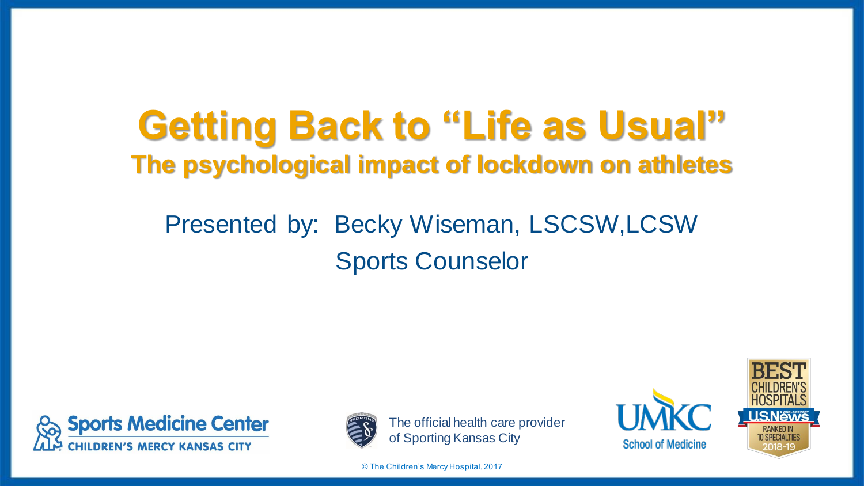# **Getting Back to "Life as Usual" The psychological impact of lockdown on athletes**

### Presented by: Becky Wiseman, LSCSW,LCSW Sports Counselor





The official health care provider of Sporting Kansas City

© The Children's Mercy Hospital, 2017



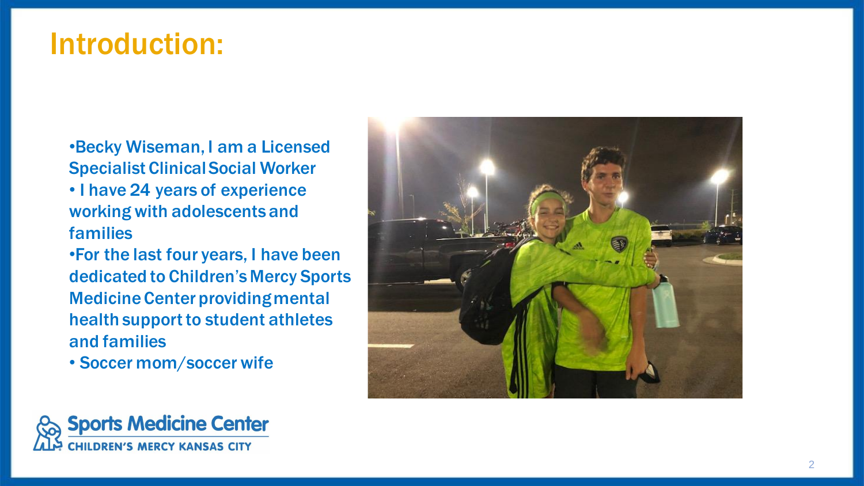#### Introduction:

•Becky Wiseman, I am a Licensed Specialist Clinical Social Worker

- I have 24 years of experience working with adolescents and families
- •For the last four years, I have been dedicated to Children's Mercy Sports Medicine Center providing mental health support to student athletes and families
- Soccer mom/soccer wife



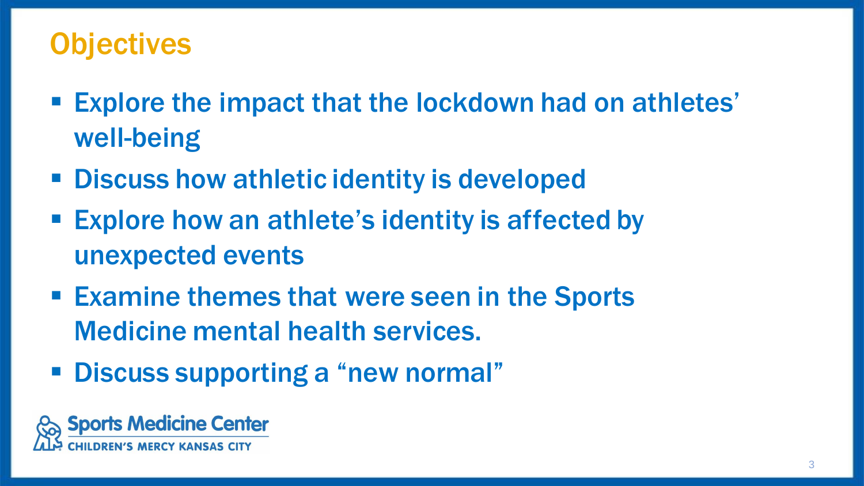#### **Objectives**

- Explore the impact that the lockdown had on athletes' well-being
- Discuss how athletic identity is developed
- Explore how an athlete's identity is affected by unexpected events
- Examine themes that were seen in the Sports Medicine mental health services.
- Discuss supporting a "new normal"

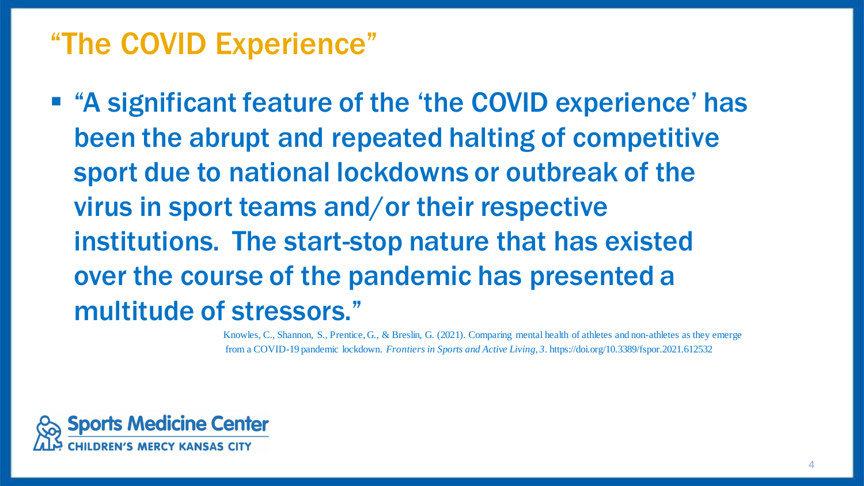### "The COVID Experience"

■ "A significant feature of the 'the COVID experience' has been the abrupt and repeated halting of competitive sport due to national lockdowns or outbreak of the virus in sport teams and/or their respective institutions. The start-stop nature that has existed over the course of the pandemic has presented a multitude of stressors."

> Knowles, C., Shannon, S., Prentice, G., & Breslin, G. (2021). Comparing mental health of athletes and non-athletes as they emerge from a COVID-19 pandemic lockdown. *Frontiers in Sports and Active Living*, *3*. https://doi.org/10.3389/fspor.2021.612532

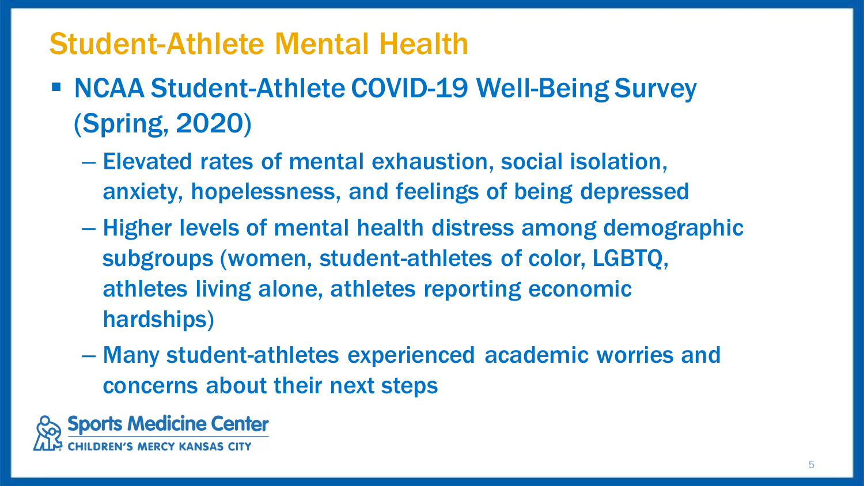#### Student-Athlete Mental Health

- NCAA Student-Athlete COVID-19 Well-Being Survey (Spring, 2020)
	- Elevated rates of mental exhaustion, social isolation, anxiety, hopelessness, and feelings of being depressed
	- Higher levels of mental health distress among demographic subgroups (women, student-athletes of color, LGBTQ, athletes living alone, athletes reporting economic hardships)
	- Many student-athletes experienced academic worries and concerns about their next steps

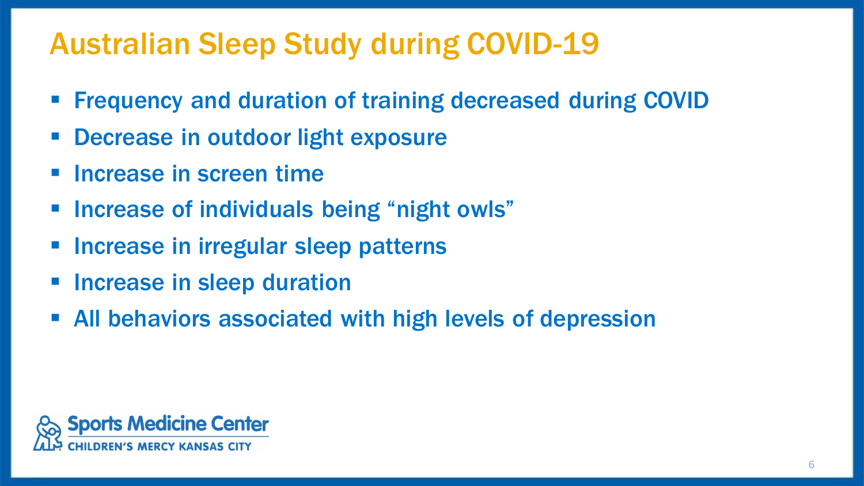### Australian Sleep Study during COVID-19

- **Frequency and duration of training decreased during COVID**
- Decrease in outdoor light exposure
- Increase in screen time
- Increase of individuals being "night owls"
- **EXPEDENT Increase in irregular sleep patterns**
- **E** Increase in sleep duration
- All behaviors associated with high levels of depression

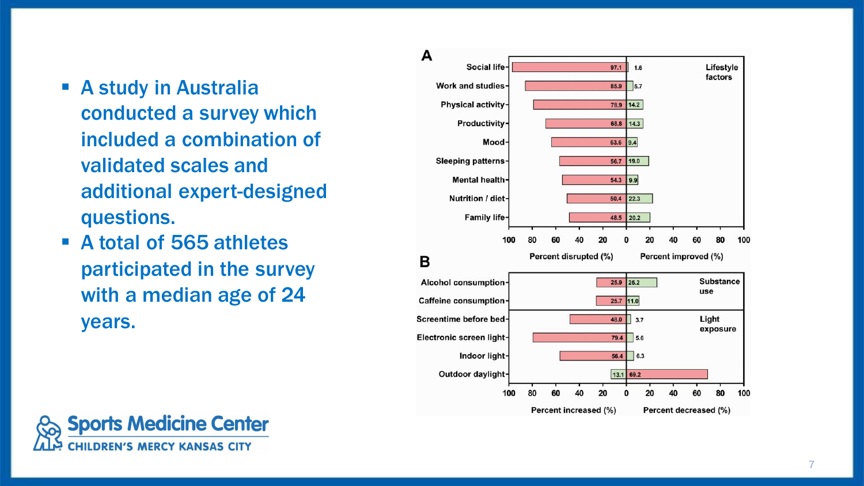- **E** A study in Australia conducted a survey which included a combination of validated scales and additional expert -designed questions.
- A total of 565 athletes participated in the survey with a median age of 24 years.



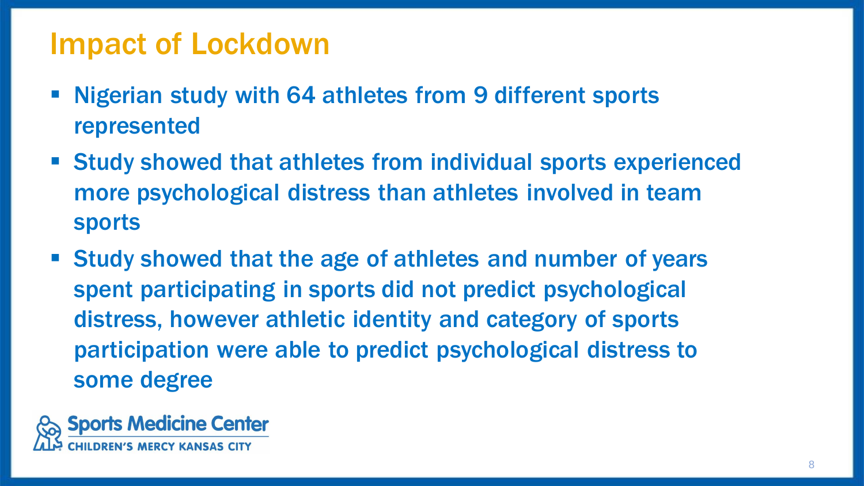#### Impact of Lockdown

- Nigerian study with 64 athletes from 9 different sports represented
- Study showed that athletes from individual sports experienced more psychological distress than athletes involved in team sports
- Study showed that the age of athletes and number of years spent participating in sports did not predict psychological distress, however athletic identity and category of sports participation were able to predict psychological distress to some degree

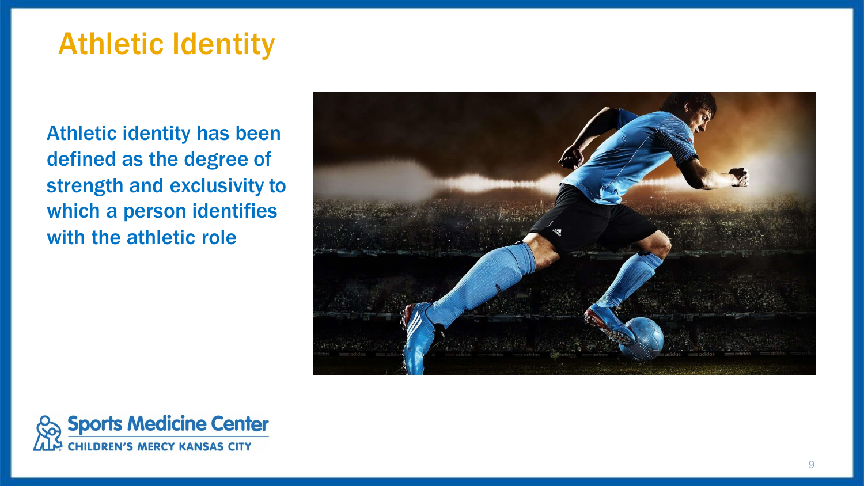### Athletic Identity

Athletic identity has been defined as the degree of strength and exclusivity to which a person identifies with the athletic role



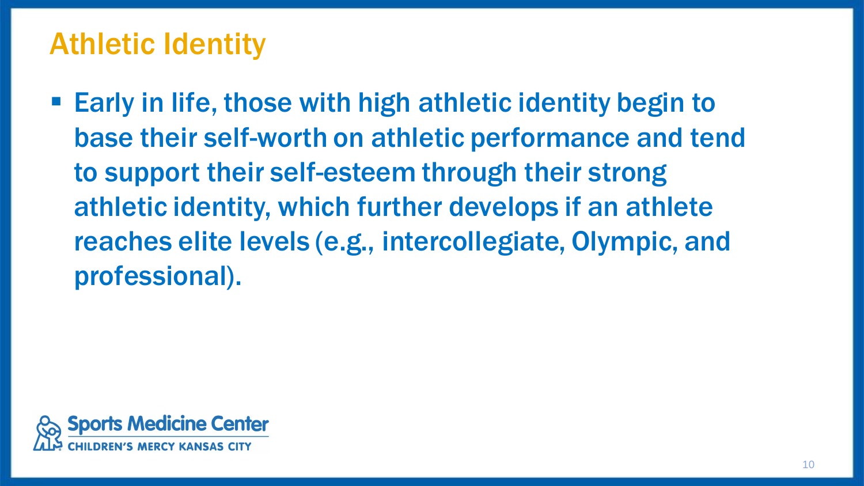#### Athletic Identity

■ Early in life, those with high athletic identity begin to base their self-worth on athletic performance and tend to support their self-esteem through their strong athletic identity, which further develops if an athlete reaches elite levels (e.g., intercollegiate, Olympic, and professional).

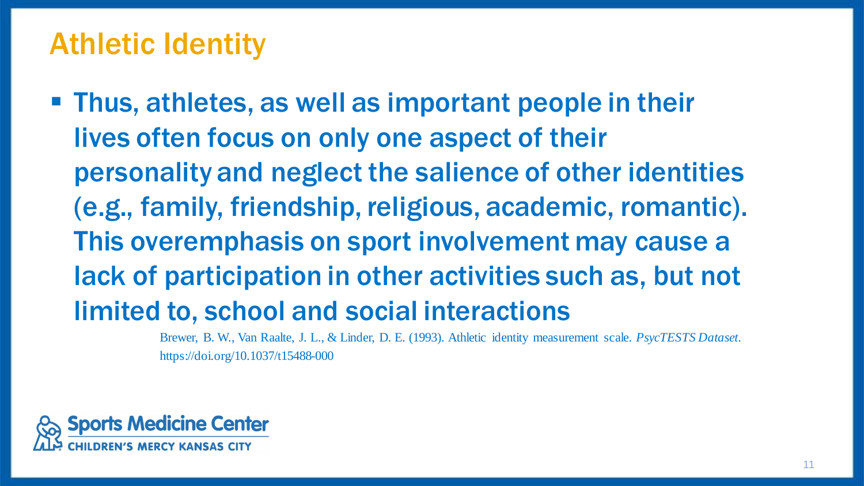#### Athletic Identity

**• Thus, athletes, as well as important people in their** lives often focus on only one aspect of their personality and neglect the salience of other identities (e.g., family, friendship, religious, academic, romantic). This overemphasis on sport involvement may cause a lack of participation in other activities such as, but not limited to, school and social interactions

> Brewer, B. W., Van Raalte, J. L., & Linder, D. E. (1993). Athletic identity measurement scale. *PsycTESTS Dataset*. https://doi.org/10.1037/t15488-000

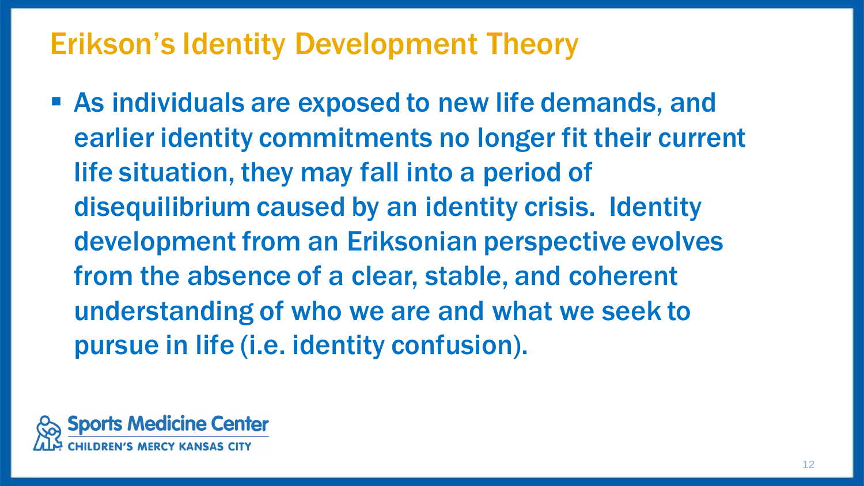### Erikson's Identity Development Theory

■ As individuals are exposed to new life demands, and earlier identity commitments no longer fit their current life situation, they may fall into a period of disequilibrium caused by an identity crisis. Identity development from an Eriksonian perspective evolves from the absence of a clear, stable, and coherent understanding of who we are and what we seek to pursue in life (i.e. identity confusion).

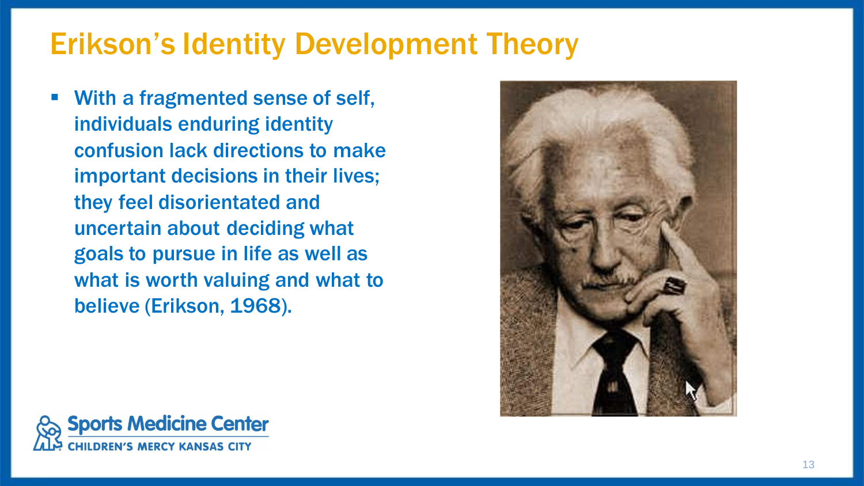### Erikson's Identity Development Theory

With a fragmented sense of self, individuals enduring identity confusion lack directions to make important decisions in their lives; they feel disorientated and uncertain about deciding what goals to pursue in life as well as what is worth valuing and what to believe (Erikson, 1968).



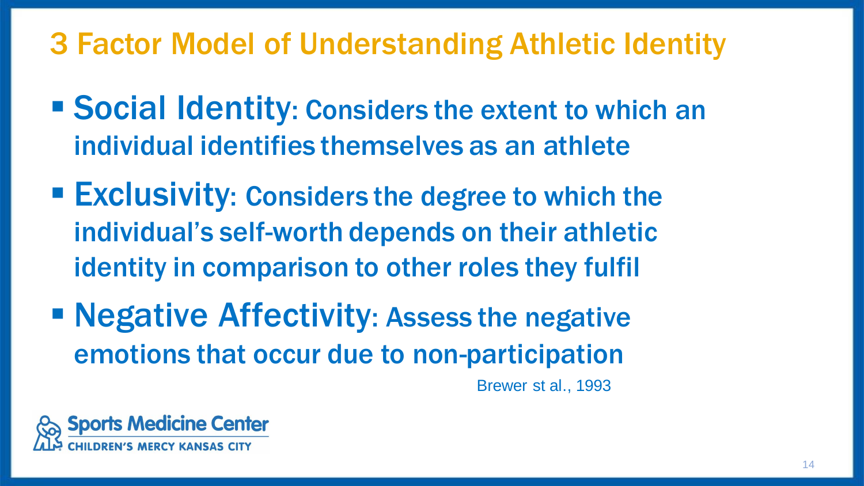### 3 Factor Model of Understanding Athletic Identity

- Social Identity: Considers the extent to which an individual identifies themselves as an athlete
- Exclusivity: Considers the degree to which the individual's self-worth depends on their athletic identity in comparison to other roles they fulfil
- Negative Affectivity: Assess the negative emotions that occur due to non-participation

Brewer st al., 1993

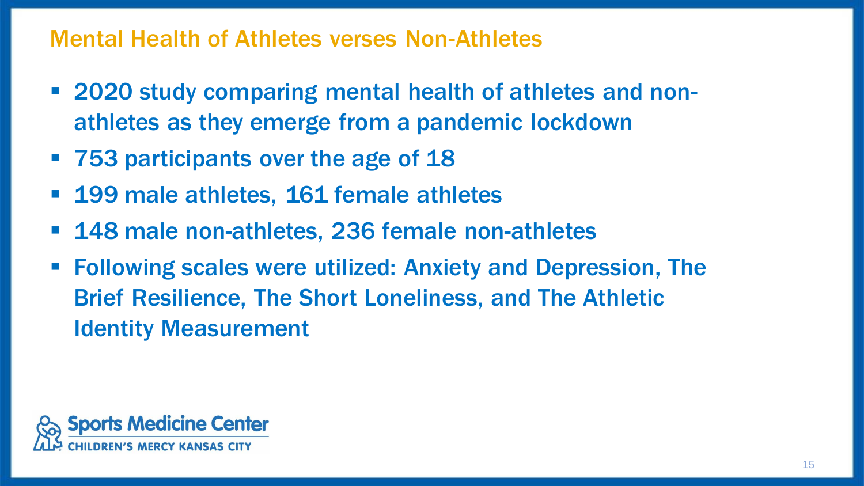#### Mental Health of Athletes verses Non-Athletes

- 2020 study comparing mental health of athletes and nonathletes as they emerge from a pandemic lockdown
- 753 participants over the age of 18
- 199 male athletes, 161 female athletes
- 148 male non-athletes, 236 female non-athletes
- **Following scales were utilized: Anxiety and Depression, The** Brief Resilience, The Short Loneliness, and The Athletic Identity Measurement

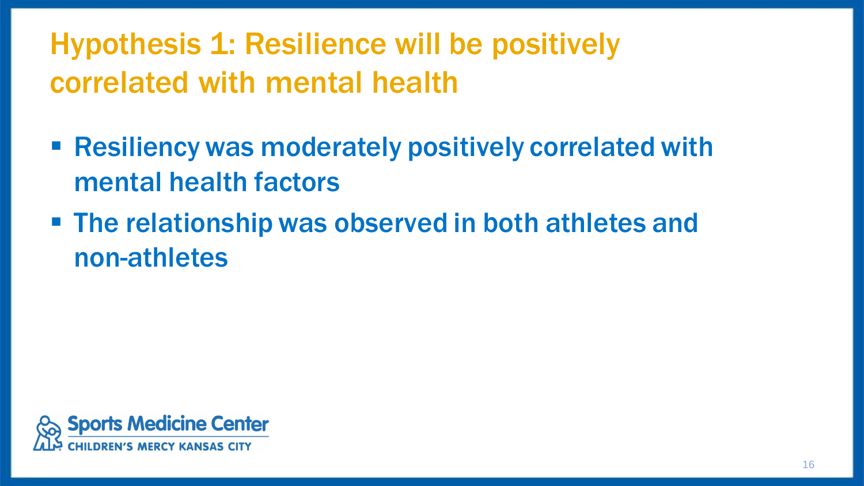Hypothesis 1: Resilience will be positively correlated with mental health

- Resiliency was moderately positively correlated with mental health factors
- The relationship was observed in both athletes and non-athletes

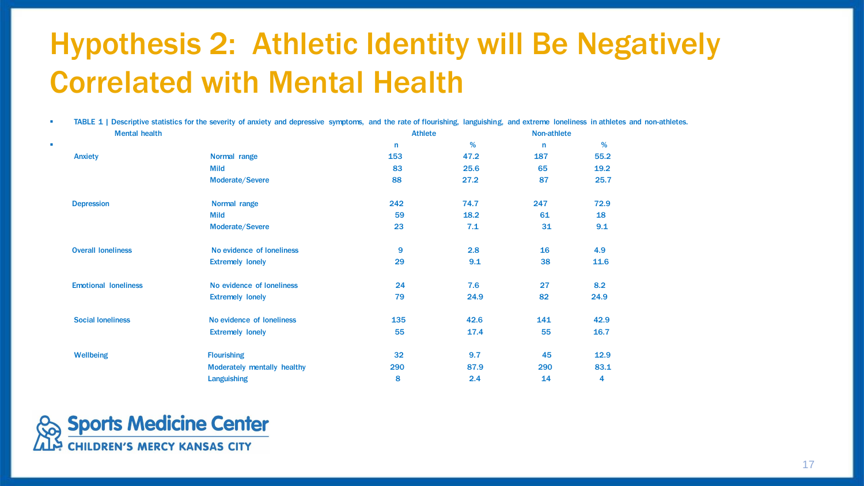# Hypothesis 2: Athletic Identity will Be Negatively Correlated with Mental Health

**EXECUTE 1** | Descriptive statistics for the severity of anxiety and depressive symptoms, and the rate of flourishing, languishing, and extreme loneliness in athletes and non-athletes.

|   | <b>Mental health</b>        |                             | <b>Athlete</b> |      | Non-athlete  |      |
|---|-----------------------------|-----------------------------|----------------|------|--------------|------|
| × |                             |                             | n              | %    | $\mathsf{n}$ | %    |
|   | Anxiety                     | Normal range                | 153            | 47.2 | 187          | 55.2 |
|   |                             | <b>Mild</b>                 | 83             | 25.6 | 65           | 19.2 |
|   |                             | Moderate/Severe             | 88             | 27.2 | 87           | 25.7 |
|   | <b>Depression</b>           | Normal range                | 242            | 74.7 | 247          | 72.9 |
|   |                             | <b>Mild</b>                 | 59             | 18.2 | 61           | 18   |
|   |                             | Moderate/Severe             | 23             | 7.1  | 31           | 9.1  |
|   | <b>Overall loneliness</b>   | No evidence of loneliness   | 9              | 2.8  | 16           | 4.9  |
|   |                             | <b>Extremely lonely</b>     | 29             | 9.1  | 38           | 11.6 |
|   | <b>Emotional loneliness</b> | No evidence of loneliness   | 24             | 7.6  | 27           | 8.2  |
|   |                             | <b>Extremely lonely</b>     | 79             | 24.9 | 82           | 24.9 |
|   | <b>Social loneliness</b>    | No evidence of loneliness   | 135            | 42.6 | 141          | 42.9 |
|   |                             | <b>Extremely lonely</b>     | 55             | 17.4 | 55           | 16.7 |
|   | <b>Wellbeing</b>            | <b>Flourishing</b>          | 32             | 9.7  | 45           | 12.9 |
|   |                             | Moderately mentally healthy | 290            | 87.9 | 290          | 83.1 |
|   |                             | <b>Languishing</b>          | 8              | 2.4  | 14           | 4    |

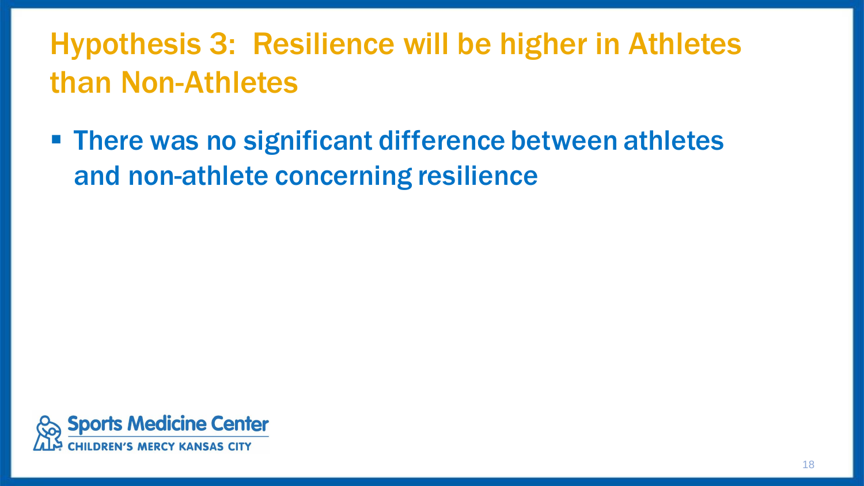# Hypothesis 3: Resilience will be higher in Athletes than Non-Athletes

■ There was no significant difference between athletes and non-athlete concerning resilience

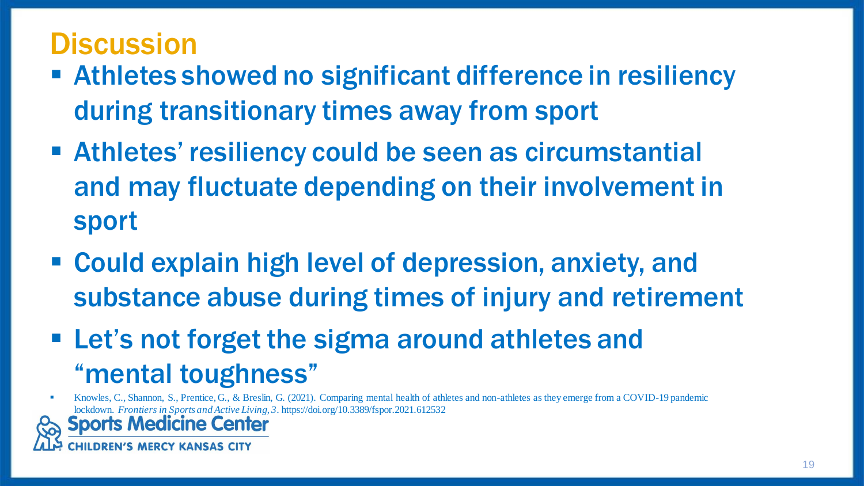### **Discussion**

- Athletes showed no significant difference in resiliency during transitionary times away from sport
- Athletes' resiliency could be seen as circumstantial and may fluctuate depending on their involvement in sport
- Could explain high level of depression, anxiety, and substance abuse during times of injury and retirement
- **EXTER 15 FIGURE 15 IS 12 FIGURE 11 FIGURE 11 FIGURE 11 FIGURE 11 FIGURE 11 FIGURE 11 FIGURE 11 FIGURE 11 FIGURE 11 FIGURE 11 FIGURE 11 FIGURE 11 FIGURE 11 FIGURE 11 FIGURE 11 FIGURE 11 FIGURE 11 FIGURE 11 FIGURE 11 FIGURE** "mental toughness"

▪ Knowles, C., Shannon, S., Prentice, G., & Breslin, G. (2021). Comparing mental health of athletes and non-athletes as they emerge from a COVID-19 pandemic lockdown. *Frontiers in Sports and Active Living*, *3*. https://doi.org/10.3389/fspor.2021.612532

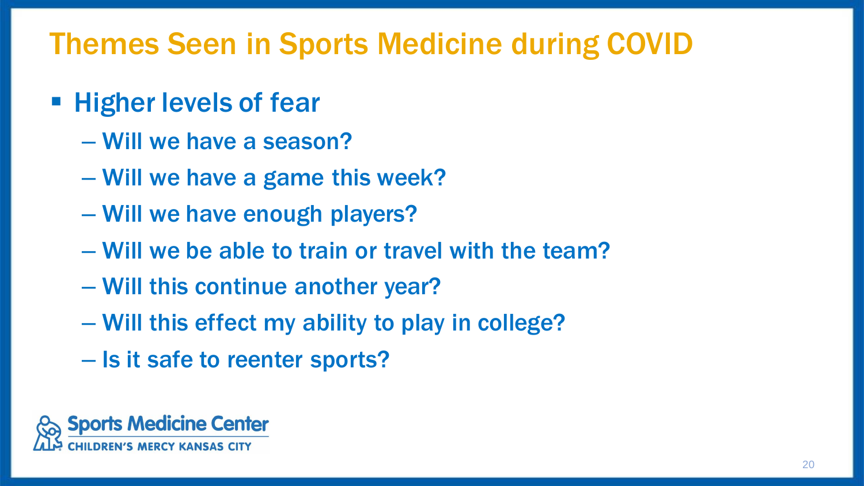## Themes Seen in Sports Medicine during COVID

- Higher levels of fear
	- Will we have a season?
	- Will we have a game this week?
	- Will we have enough players?
	- Will we be able to train or travel with the team?
	- Will this continue another year?
	- Will this effect my ability to play in college?
	- Is it safe to reenter sports?

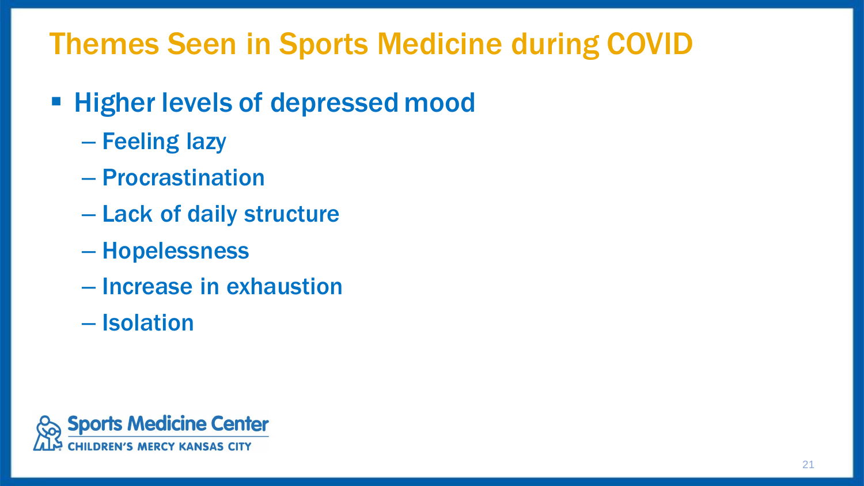# Themes Seen in Sports Medicine during COVID

#### **EXTENDER IN EXAMPLE THE Higher levels of depressed mood**

- Feeling lazy
- Procrastination
- Lack of daily structure
- Hopelessness
- Increase in exhaustion
- Isolation

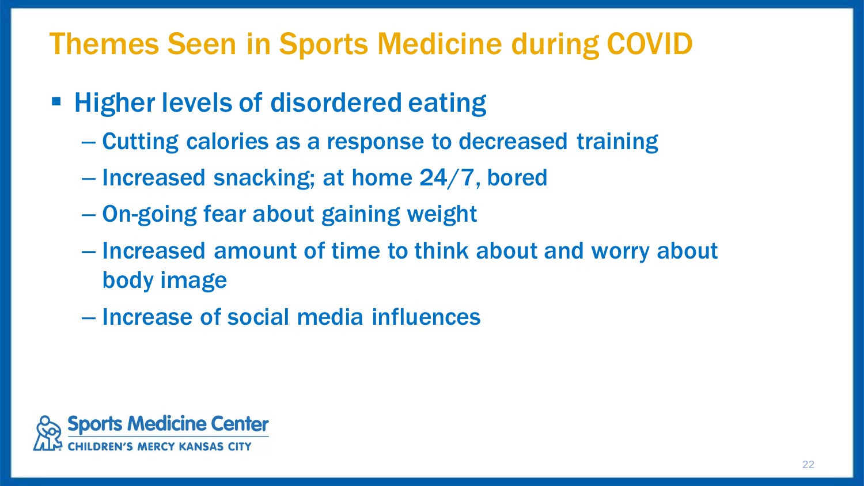## Themes Seen in Sports Medicine during COVID

- Higher levels of disordered eating
	- Cutting calories as a response to decreased training
	- Increased snacking; at home 24/7, bored
	- On-going fear about gaining weight
	- Increased amount of time to think about and worry about body image
	- Increase of social media influences

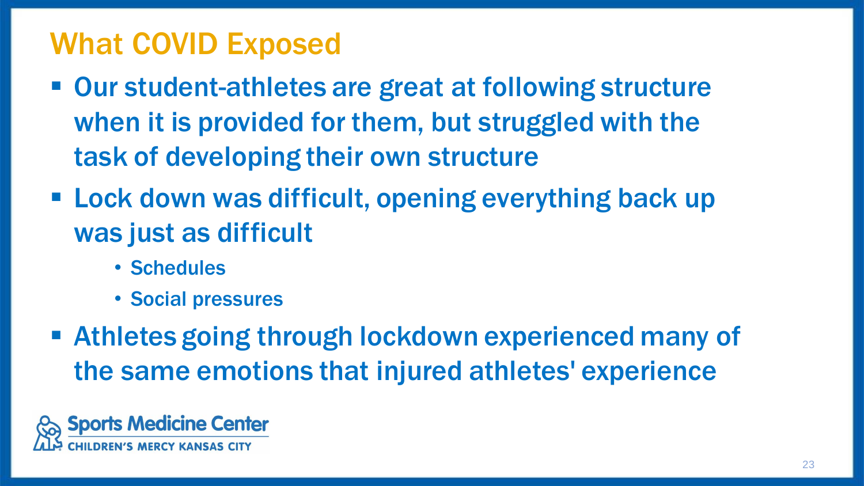### What COVID Exposed

- Our student-athletes are great at following structure when it is provided for them, but struggled with the task of developing their own structure
- Lock down was difficult, opening everything back up was just as difficult
	- Schedules
	- Social pressures
- **EXTE Athletes going through lockdown experienced many of** the same emotions that injured athletes' experience

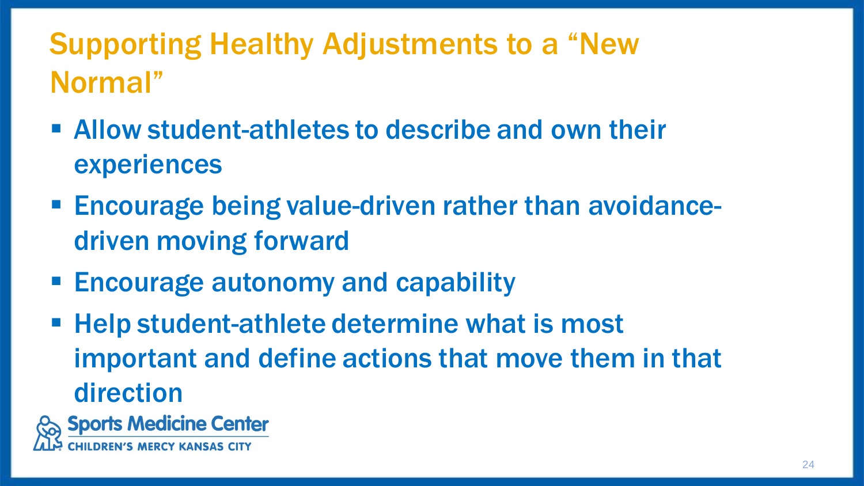# Supporting Healthy Adjustments to a "New Normal"

- Allow student-athletes to describe and own their experiences
- Encourage being value-driven rather than avoidancedriven moving forward
- Encourage autonomy and capability
- Help student-athlete determine what is most important and define actions that move them in that direction

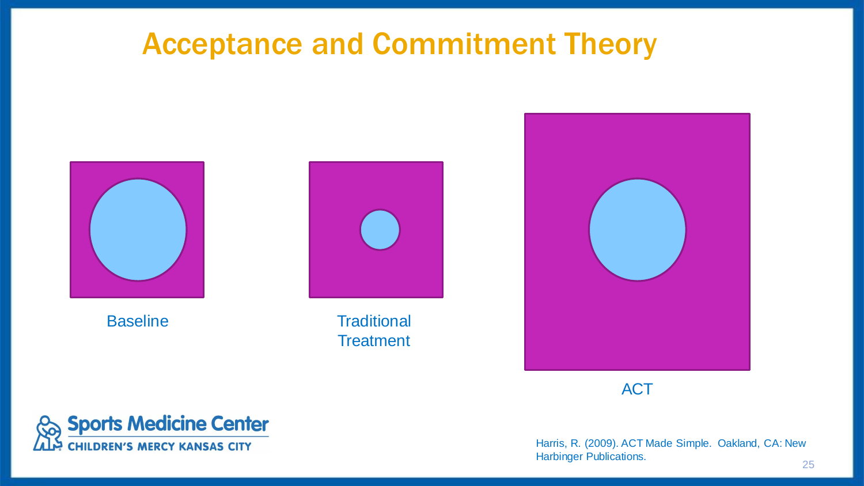#### Acceptance and Commitment Theory





Baseline Traditional **Treatment** 



**ACT** 



Harris, R. (2009). ACT Made Simple. Oakland, CA: New Harbinger Publications.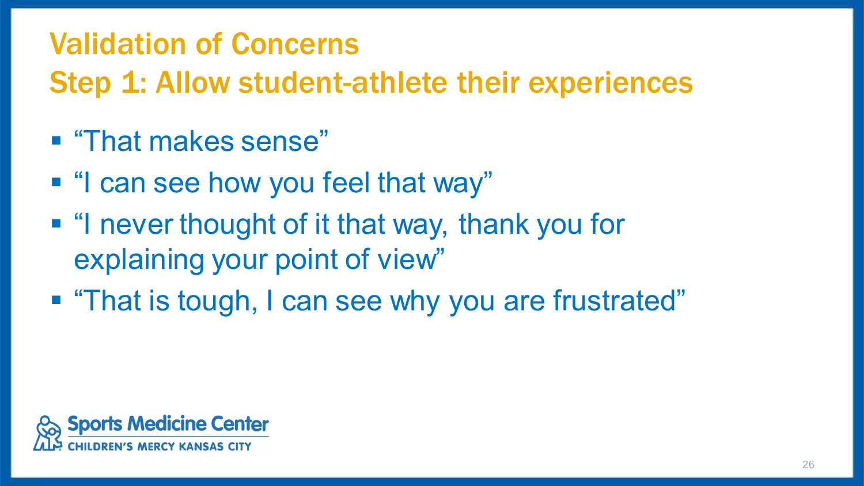### Validation of Concerns

Step 1: Allow student-athlete their experiences

- "That makes sense"
- "I can see how you feel that way"
- "I never thought of it that way, thank you for explaining your point of view"
- "That is tough, I can see why you are frustrated"

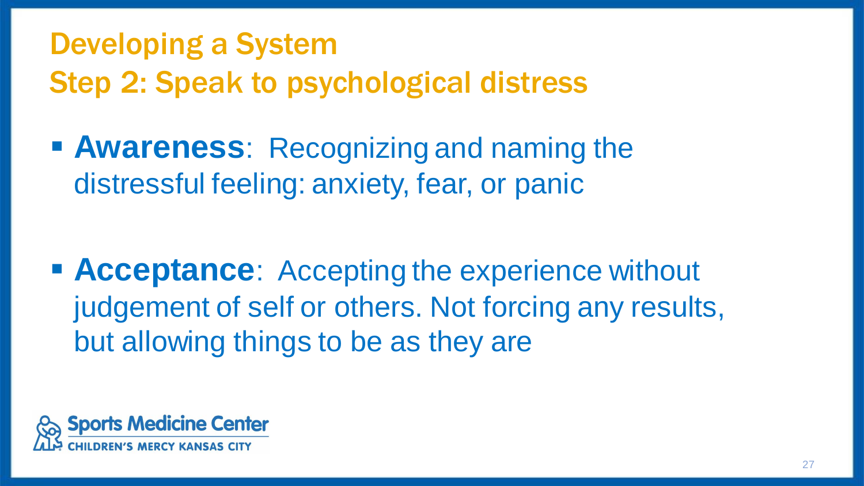# Developing a System Step 2: Speak to psychological distress

**E Awareness**: Recognizing and naming the distressful feeling: anxiety, fear, or panic

■ **Acceptance**: Accepting the experience without judgement of self or others. Not forcing any results, but allowing things to be as they are

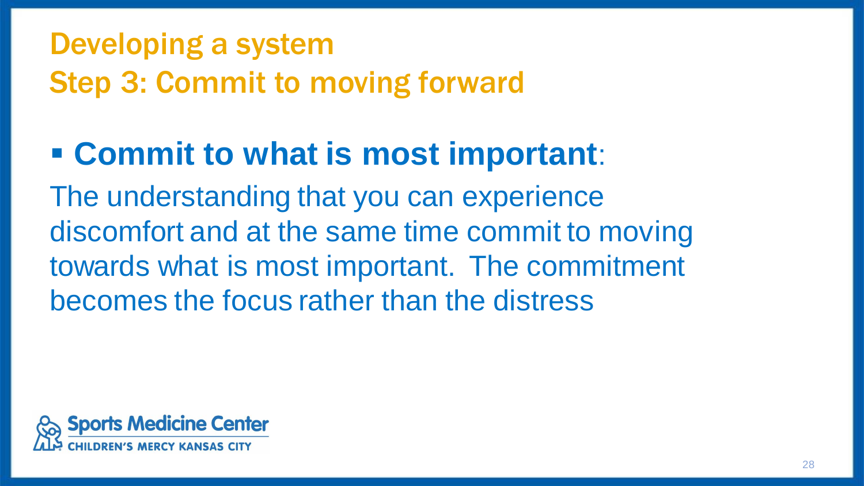# Developing a system Step 3: Commit to moving forward

# ▪ **Commit to what is most important**:

The understanding that you can experience discomfort and at the same time commit to moving towards what is most important. The commitment becomes the focus rather than the distress

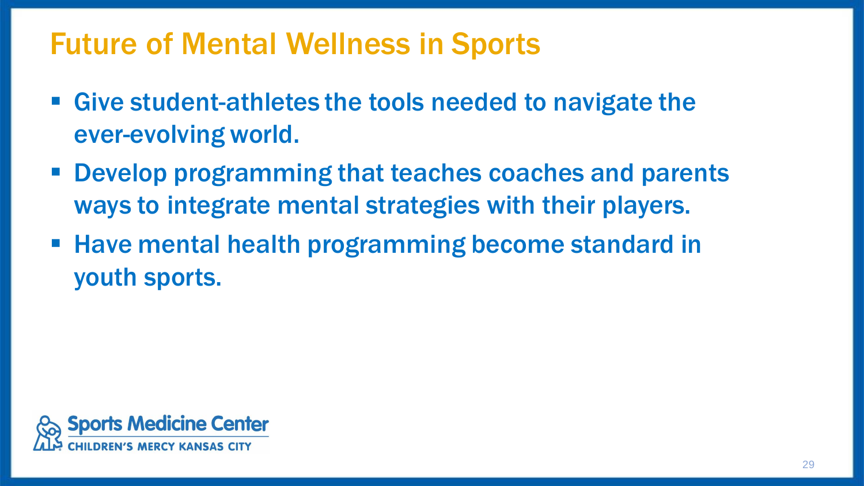### Future of Mental Wellness in Sports

- Give student-athletes the tools needed to navigate the ever-evolving world.
- Develop programming that teaches coaches and parents ways to integrate mental strategies with their players.
- Have mental health programming become standard in youth sports.

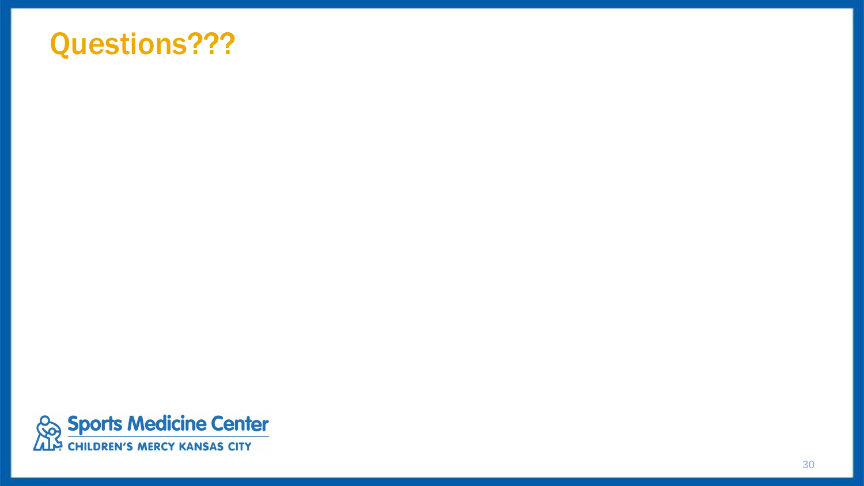#### Questions???